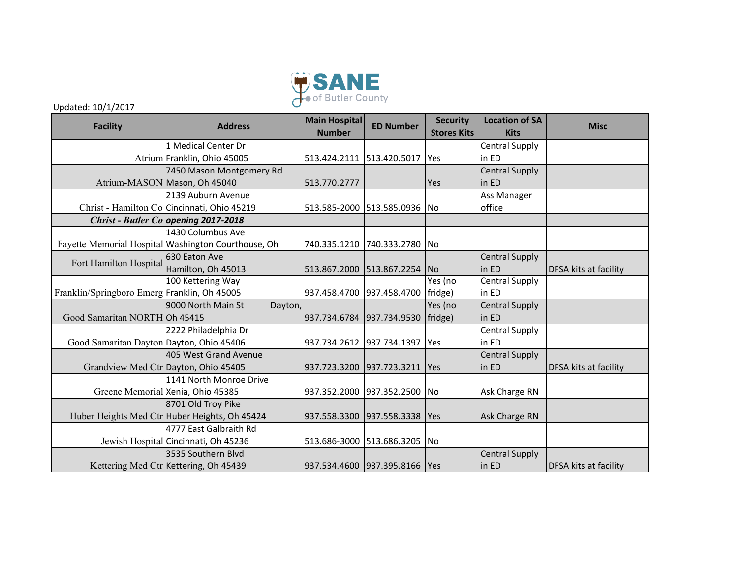

Updated: 10/1/2017

| <b>Facility</b>                              | <b>Address</b>                                      | <b>Main Hospital</b><br><b>Number</b> | <b>ED Number</b>                    | <b>Security</b><br><b>Stores Kits</b> | <b>Location of SA</b><br><b>Kits</b> | <b>Misc</b>                  |
|----------------------------------------------|-----------------------------------------------------|---------------------------------------|-------------------------------------|---------------------------------------|--------------------------------------|------------------------------|
|                                              | 1 Medical Center Dr                                 |                                       |                                     |                                       | <b>Central Supply</b>                |                              |
|                                              | Atrium Franklin, Ohio 45005                         |                                       | 513.424.2111 513.420.5017   Yes     |                                       | in ED                                |                              |
|                                              | 7450 Mason Montgomery Rd                            |                                       |                                     |                                       | <b>Central Supply</b>                |                              |
|                                              | Atrium-MASON Mason, Oh 45040                        | 513.770.2777                          |                                     | Yes                                   | in ED                                |                              |
|                                              | 2139 Auburn Avenue                                  |                                       |                                     |                                       | Ass Manager                          |                              |
|                                              | Christ - Hamilton Colcincinnati, Ohio 45219         |                                       | 513.585-2000 513.585.0936 No        |                                       | office                               |                              |
|                                              | <b>Christ - Butler Co opening 2017-2018</b>         |                                       |                                     |                                       |                                      |                              |
|                                              | 1430 Columbus Ave                                   |                                       |                                     |                                       |                                      |                              |
|                                              | Fayette Memorial Hospital Washington Courthouse, Oh | 740.335.1210                          | 740.333.2780  No                    |                                       |                                      |                              |
| Fort Hamilton Hospital                       | 630 Eaton Ave                                       |                                       |                                     |                                       | <b>Central Supply</b>                |                              |
|                                              | Hamilton, Oh 45013                                  | 513.867.2000                          | 513.867.2254                        | <b>INo</b>                            | in ED                                | DFSA kits at facility        |
|                                              | 100 Kettering Way                                   |                                       |                                     | Yes (no                               | <b>Central Supply</b>                |                              |
| Franklin/Springboro Emerg Franklin, Oh 45005 |                                                     |                                       | 937.458.4700 937.458.4700 [fridge)  |                                       | in ED                                |                              |
|                                              | 9000 North Main St<br>Dayton,                       |                                       |                                     | Yes (no                               | <b>Central Supply</b>                |                              |
| Good Samaritan NORTHOh 45415                 |                                                     |                                       | 937.734.6784 937.734.9530   fridge) |                                       | in ED                                |                              |
|                                              | 2222 Philadelphia Dr                                |                                       |                                     |                                       | <b>Central Supply</b>                |                              |
| Good Samaritan Dayton Dayton, Ohio 45406     |                                                     | 937.734.2612 937.734.1397             |                                     | <b>IYes</b>                           | in ED                                |                              |
|                                              | 405 West Grand Avenue                               |                                       |                                     |                                       | <b>Central Supply</b>                |                              |
|                                              | Grandview Med Ctr Dayton, Ohio 45405                |                                       | 937.723.3200 937.723.3211 Yes       |                                       | in ED                                | <b>DFSA kits at facility</b> |
|                                              | 1141 North Monroe Drive                             |                                       |                                     |                                       |                                      |                              |
|                                              | Greene Memorial Xenia, Ohio 45385                   | 937.352.2000                          | 937.352.2500 No                     |                                       | Ask Charge RN                        |                              |
|                                              | 8701 Old Troy Pike                                  |                                       |                                     |                                       |                                      |                              |
|                                              | Huber Heights Med Ctr Huber Heights, Oh 45424       |                                       | 937.558.3300 937.558.3338 Yes       |                                       | Ask Charge RN                        |                              |
|                                              | 4777 East Galbraith Rd                              |                                       |                                     |                                       |                                      |                              |
|                                              | Jewish Hospital Cincinnati, Oh 45236                |                                       | 513.686-3000 513.686.3205 No        |                                       |                                      |                              |
|                                              | 3535 Southern Blvd                                  |                                       |                                     |                                       | <b>Central Supply</b>                |                              |
|                                              | Kettering Med Ctr Kettering, Oh 45439               |                                       | 937.534.4600 937.395.8166 Yes       |                                       | in ED                                | DFSA kits at facility        |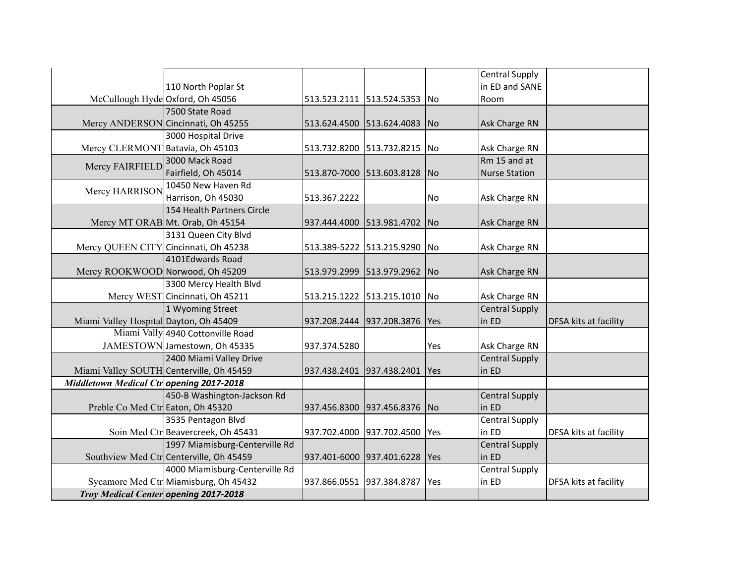|                                                 |                                          |                           |                              |             | Central Supply        |                              |
|-------------------------------------------------|------------------------------------------|---------------------------|------------------------------|-------------|-----------------------|------------------------------|
|                                                 | 110 North Poplar St                      |                           |                              |             | in ED and SANE        |                              |
|                                                 | McCullough Hyde Oxford, Oh 45056         |                           | 513.523.2111 513.524.5353    | No          | Room                  |                              |
|                                                 | 7500 State Road                          |                           |                              |             |                       |                              |
|                                                 | Mercy ANDERSON Cincinnati, Oh 45255      | 513.624.4500 513.624.4083 |                              | <b>INo</b>  | Ask Charge RN         |                              |
|                                                 | 3000 Hospital Drive                      |                           |                              |             |                       |                              |
| Mercy CLERMONT Batavia, Oh 45103                |                                          | 513.732.8200              | 513.732.8215                 | No          | Ask Charge RN         |                              |
| Mercy FAIRFIELD                                 | 3000 Mack Road                           |                           |                              |             | Rm 15 and at          |                              |
|                                                 | Fairfield, Oh 45014                      | 513.870-7000 513.603.8128 |                              | No          | Nurse Station         |                              |
|                                                 | 10450 New Haven Rd                       |                           |                              |             |                       |                              |
| Mercy HARRISON                                  | Harrison, Oh 45030                       | 513.367.2222              |                              | No          | Ask Charge RN         |                              |
|                                                 | 154 Health Partners Circle               |                           |                              |             |                       |                              |
|                                                 | Mercy MT ORAB Mt. Orab, Oh 45154         | 937.444.4000 513.981.4702 |                              | <b>INo</b>  | Ask Charge RN         |                              |
|                                                 | 3131 Queen City Blvd                     |                           |                              |             |                       |                              |
|                                                 | Mercy QUEEN CITY Cincinnati, Oh 45238    |                           | 513.389-5222 513.215.9290 No |             | Ask Charge RN         |                              |
|                                                 | 4101Edwards Road                         |                           |                              |             |                       |                              |
| Mercy ROOKWOOD Norwood, Oh 45209                |                                          |                           | 513.979.2999 513.979.2962    | <b>INo</b>  | Ask Charge RN         |                              |
|                                                 | 3300 Mercy Health Blvd                   |                           |                              |             |                       |                              |
|                                                 | Mercy WEST Cincinnati, Oh 45211          |                           | 513.215.1222 513.215.1010    | lNo         | Ask Charge RN         |                              |
|                                                 | 1 Wyoming Street                         |                           |                              |             | <b>Central Supply</b> |                              |
| Miami Valley Hospital Dayton, Oh 45409          |                                          | 937.208.2444 937.208.3876 |                              | Yes         | in ED                 | <b>DFSA kits at facility</b> |
|                                                 | Miami Vally 4940 Cottonville Road        |                           |                              |             |                       |                              |
|                                                 | JAMESTOWN Jamestown, Oh 45335            | 937.374.5280              |                              | Yes         | Ask Charge RN         |                              |
|                                                 | 2400 Miami Valley Drive                  |                           |                              |             | <b>Central Supply</b> |                              |
|                                                 | Miami Valley SOUTH Centerville, Oh 45459 | 937.438.2401              | 937.438.2401                 | Yes         | in ED                 |                              |
| <b>Middletown Medical Ctr opening 2017-2018</b> |                                          |                           |                              |             |                       |                              |
|                                                 | 450-B Washington-Jackson Rd              |                           |                              |             | <b>Central Supply</b> |                              |
| Preble Co Med Ctr Eaton, Oh 45320               |                                          | 937.456.8300              | 937.456.8376                 | <b>INo</b>  | in ED                 |                              |
|                                                 | 3535 Pentagon Blvd                       |                           |                              |             | <b>Central Supply</b> |                              |
|                                                 | Soin Med Ctr Beavercreek, Oh 45431       | 937.702.4000 937.702.4500 |                              | <b>Yes</b>  | in ED                 | DFSA kits at facility        |
|                                                 | 1997 Miamisburg-Centerville Rd           |                           |                              |             | <b>Central Supply</b> |                              |
|                                                 | Southview Med Ctr Centerville, Oh 45459  | 937.401-6000 937.401.6228 |                              | <b>IYes</b> | in ED                 |                              |
|                                                 | 4000 Miamisburg-Centerville Rd           |                           |                              |             | Central Supply        |                              |
|                                                 | Sycamore Med Ctr Miamisburg, Oh 45432    | 937.866.0551              | 937.384.8787                 | Yes         | in ED                 | DFSA kits at facility        |
| Troy Medical Center opening 2017-2018           |                                          |                           |                              |             |                       |                              |